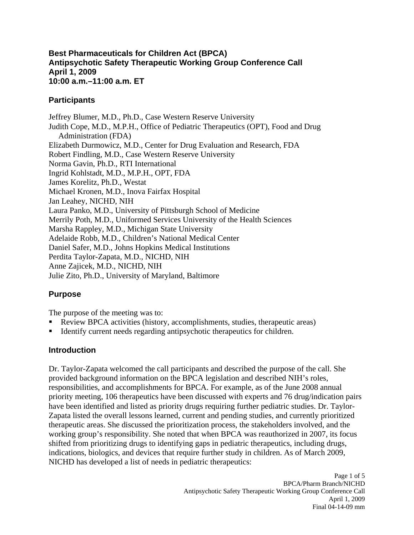#### **Best Pharmaceuticals for Children Act (BPCA) Antipsychotic Safety Therapeutic Working Group Conference Call April 1, 2009 10:00 a.m.–11:00 a.m. ET**

#### **Participants**

Jeffrey Blumer, M.D., Ph.D., Case Western Reserve University Judith Cope, M.D., M.P.H., Office of Pediatric Therapeutics (OPT), Food and Drug Administration (FDA) Elizabeth Durmowicz, M.D., Center for Drug Evaluation and Research, FDA Robert Findling, M.D., Case Western Reserve University Norma Gavin, Ph.D., RTI International Ingrid Kohlstadt, M.D., M.P.H., OPT, FDA James Korelitz, Ph.D., Westat Michael Kronen, M.D., Inova Fairfax Hospital Jan Leahey, NICHD, NIH Laura Panko, M.D., University of Pittsburgh School of Medicine Merrily Poth, M.D., Uniformed Services University of the Health Sciences Marsha Rappley, M.D., Michigan State University Adelaide Robb, M.D., Children's National Medical Center Daniel Safer, M.D., Johns Hopkins Medical Institutions Perdita Taylor-Zapata, M.D., NICHD, NIH Anne Zajicek, M.D., NICHD, NIH Julie Zito, Ph.D., University of Maryland, Baltimore

# **Purpose**

The purpose of the meeting was to:

- Review BPCA activities (history, accomplishments, studies, therapeutic areas)
- Identify current needs regarding antipsychotic therapeutics for children.

# **Introduction**

Dr. Taylor-Zapata welcomed the call participants and described the purpose of the call. She provided background information on the BPCA legislation and described NIH's roles, responsibilities, and accomplishments for BPCA. For example, as of the June 2008 annual priority meeting, 106 therapeutics have been discussed with experts and 76 drug/indication pairs have been identified and listed as priority drugs requiring further pediatric studies. Dr. Taylor-Zapata listed the overall lessons learned, current and pending studies, and currently prioritized therapeutic areas. She discussed the prioritization process, the stakeholders involved, and the working group's responsibility. She noted that when BPCA was reauthorized in 2007, its focus shifted from prioritizing drugs to identifying gaps in pediatric therapeutics, including drugs, indications, biologics, and devices that require further study in children. As of March 2009, NICHD has developed a list of needs in pediatric therapeutics: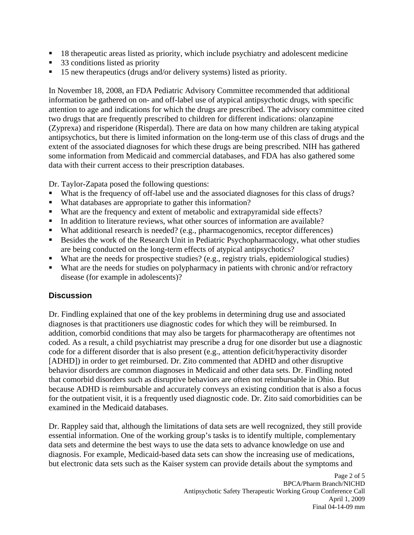- <sup>18</sup> therapeutic areas listed as priority, which include psychiatry and adolescent medicine
- 33 conditions listed as priority
- 15 new therapeutics (drugs and/or delivery systems) listed as priority.

In November 18, 2008, an FDA Pediatric Advisory Committee recommended that additional information be gathered on on- and off-label use of atypical antipsychotic drugs, with specific attention to age and indications for which the drugs are prescribed. The advisory committee cited two drugs that are frequently prescribed to children for different indications: olanzapine (Zyprexa) and risperidone (Risperdal). There are data on how many children are taking atypical antipsychotics, but there is limited information on the long-term use of this class of drugs and the extent of the associated diagnoses for which these drugs are being prescribed. NIH has gathered some information from Medicaid and commercial databases, and FDA has also gathered some data with their current access to their prescription databases.

Dr. Taylor-Zapata posed the following questions:

- What is the frequency of off-label use and the associated diagnoses for this class of drugs?
- What databases are appropriate to gather this information?
- What are the frequency and extent of metabolic and extrapyramidal side effects?
- In addition to literature reviews, what other sources of information are available?
- What additional research is needed? (e.g., pharmacogenomics, receptor differences)
- Besides the work of the Research Unit in Pediatric Psychopharmacology, what other studies are being conducted on the long-term effects of atypical antipsychotics?
- What are the needs for prospective studies? (e.g., registry trials, epidemiological studies)
- What are the needs for studies on polypharmacy in patients with chronic and/or refractory disease (for example in adolescents)?

#### **Discussion**

Dr. Findling explained that one of the key problems in determining drug use and associated diagnoses is that practitioners use diagnostic codes for which they will be reimbursed. In addition, comorbid conditions that may also be targets for pharmacotherapy are oftentimes not coded. As a result, a child psychiatrist may prescribe a drug for one disorder but use a diagnostic code for a different disorder that is also present (e.g., attention deficit/hyperactivity disorder [ADHD]) in order to get reimbursed. Dr. Zito commented that ADHD and other disruptive behavior disorders are common diagnoses in Medicaid and other data sets. Dr. Findling noted that comorbid disorders such as disruptive behaviors are often not reimbursable in Ohio. But because ADHD is reimbursable and accurately conveys an existing condition that is also a focus for the outpatient visit, it is a frequently used diagnostic code. Dr. Zito said comorbidities can be examined in the Medicaid databases.

Dr. Rappley said that, although the limitations of data sets are well recognized, they still provide essential information. One of the working group's tasks is to identify multiple, complementary data sets and determine the best ways to use the data sets to advance knowledge on use and diagnosis. For example, Medicaid-based data sets can show the increasing use of medications, but electronic data sets such as the Kaiser system can provide details about the symptoms and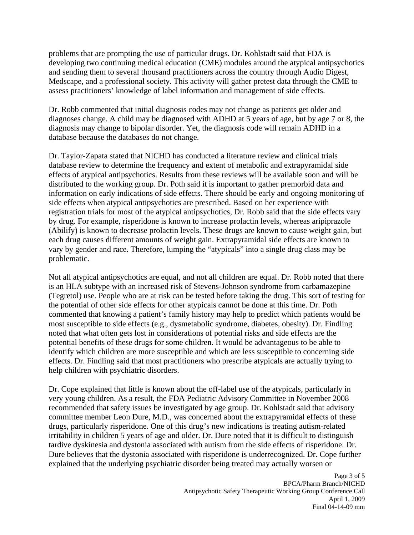problems that are prompting the use of particular drugs. Dr. Kohlstadt said that FDA is developing two continuing medical education (CME) modules around the atypical antipsychotics and sending them to several thousand practitioners across the country through Audio Digest, Medscape, and a professional society. This activity will gather pretest data through the CME to assess practitioners' knowledge of label information and management of side effects.

Dr. Robb commented that initial diagnosis codes may not change as patients get older and diagnoses change. A child may be diagnosed with ADHD at 5 years of age, but by age 7 or 8, the diagnosis may change to bipolar disorder. Yet, the diagnosis code will remain ADHD in a database because the databases do not change.

Dr. Taylor-Zapata stated that NICHD has conducted a literature review and clinical trials database review to determine the frequency and extent of metabolic and extrapyramidal side effects of atypical antipsychotics. Results from these reviews will be available soon and will be distributed to the working group. Dr. Poth said it is important to gather premorbid data and information on early indications of side effects. There should be early and ongoing monitoring of side effects when atypical antipsychotics are prescribed. Based on her experience with registration trials for most of the atypical antipsychotics, Dr. Robb said that the side effects vary by drug. For example, risperidone is known to increase prolactin levels, whereas aripiprazole (Abilify) is known to decrease prolactin levels. These drugs are known to cause weight gain, but each drug causes different amounts of weight gain. Extrapyramidal side effects are known to vary by gender and race. Therefore, lumping the "atypicals" into a single drug class may be problematic.

Not all atypical antipsychotics are equal, and not all children are equal. Dr. Robb noted that there is an HLA subtype with an increased risk of Stevens-Johnson syndrome from carbamazepine (Tegretol) use. People who are at risk can be tested before taking the drug. This sort of testing for the potential of other side effects for other atypicals cannot be done at this time. Dr. Poth commented that knowing a patient's family history may help to predict which patients would be most susceptible to side effects (e.g., dysmetabolic syndrome, diabetes, obesity). Dr. Findling noted that what often gets lost in considerations of potential risks and side effects are the potential benefits of these drugs for some children. It would be advantageous to be able to identify which children are more susceptible and which are less susceptible to concerning side effects. Dr. Findling said that most practitioners who prescribe atypicals are actually trying to help children with psychiatric disorders.

Dr. Cope explained that little is known about the off-label use of the atypicals, particularly in very young children. As a result, the FDA Pediatric Advisory Committee in November 2008 recommended that safety issues be investigated by age group. Dr. Kohlstadt said that advisory committee member Leon Dure, M.D., was concerned about the extrapyramidal effects of these drugs, particularly risperidone. One of this drug's new indications is treating autism-related irritability in children 5 years of age and older. Dr. Dure noted that it is difficult to distinguish tardive dyskinesia and dystonia associated with autism from the side effects of risperidone. Dr. Dure believes that the dystonia associated with risperidone is underrecognized. Dr. Cope further explained that the underlying psychiatric disorder being treated may actually worsen or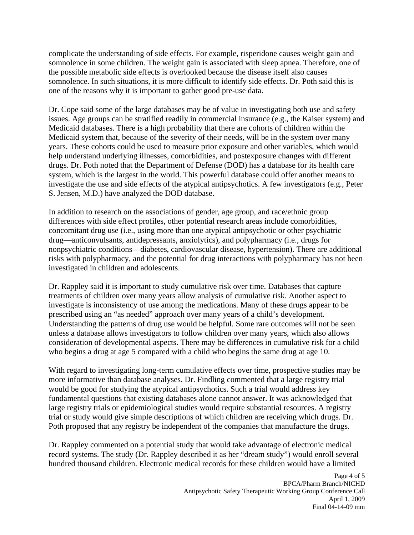complicate the understanding of side effects. For example, risperidone causes weight gain and somnolence in some children. The weight gain is associated with sleep apnea. Therefore, one of the possible metabolic side effects is overlooked because the disease itself also causes somnolence. In such situations, it is more difficult to identify side effects. Dr. Poth said this is one of the reasons why it is important to gather good pre-use data.

Dr. Cope said some of the large databases may be of value in investigating both use and safety issues. Age groups can be stratified readily in commercial insurance (e.g., the Kaiser system) and Medicaid databases. There is a high probability that there are cohorts of children within the Medicaid system that, because of the severity of their needs, will be in the system over many years. These cohorts could be used to measure prior exposure and other variables, which would help understand underlying illnesses, comorbidities, and postexposure changes with different drugs. Dr. Poth noted that the Department of Defense (DOD) has a database for its health care system, which is the largest in the world. This powerful database could offer another means to investigate the use and side effects of the atypical antipsychotics. A few investigators (e.g., Peter S. Jensen, M.D.) have analyzed the DOD database.

In addition to research on the associations of gender, age group, and race/ethnic group differences with side effect profiles, other potential research areas include comorbidities, concomitant drug use (i.e., using more than one atypical antipsychotic or other psychiatric drug—anticonvulsants, antidepressants, anxiolytics), and polypharmacy (i.e., drugs for nonpsychiatric conditions—diabetes, cardiovascular disease, hypertension). There are additional risks with polypharmacy, and the potential for drug interactions with polypharmacy has not been investigated in children and adolescents.

Dr. Rappley said it is important to study cumulative risk over time. Databases that capture treatments of children over many years allow analysis of cumulative risk. Another aspect to investigate is inconsistency of use among the medications. Many of these drugs appear to be prescribed using an "as needed" approach over many years of a child's development. Understanding the patterns of drug use would be helpful. Some rare outcomes will not be seen unless a database allows investigators to follow children over many years, which also allows consideration of developmental aspects. There may be differences in cumulative risk for a child who begins a drug at age 5 compared with a child who begins the same drug at age 10.

With regard to investigating long-term cumulative effects over time, prospective studies may be more informative than database analyses. Dr. Findling commented that a large registry trial would be good for studying the atypical antipsychotics. Such a trial would address key fundamental questions that existing databases alone cannot answer. It was acknowledged that large registry trials or epidemiological studies would require substantial resources. A registry trial or study would give simple descriptions of which children are receiving which drugs. Dr. Poth proposed that any registry be independent of the companies that manufacture the drugs.

Dr. Rappley commented on a potential study that would take advantage of electronic medical record systems. The study (Dr. Rappley described it as her "dream study") would enroll several hundred thousand children. Electronic medical records for these children would have a limited